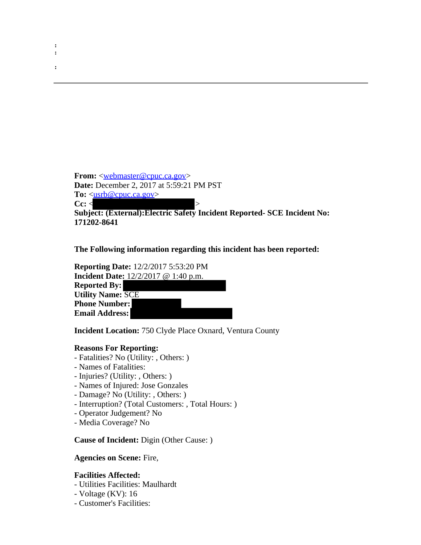From: [<webmaster@cpuc.ca.gov](mailto:webmaster@cpuc.ca.gov)> **Date:** December 2, 2017 at 5:59:21 PM PST **To:** <usrb@cpuc.ca.gov> **Cc:** < > >

**Subject: (External):Electric Safety Incident Reported- SCE Incident No: 171202-8641**

**The Following information regarding this incident has been reported:**

**Reporting Date:** 12/2/2017 5:53:20 PM **Incident Date:** 12/2/2017 @ 1:40 p.m. **Reported By: Utility Name:** SCE **Phone Number: Email Address:** 

**Incident Location:** 750 Clyde Place Oxnard, Ventura County

## **Reasons For Reporting:**

- Fatalities? No (Utility: , Others: )
- Names of Fatalities:

**: :**

**:**

- Injuries? (Utility: , Others: )
- Names of Injured: Jose Gonzales
- Damage? No (Utility: , Others: )
- Interruption? (Total Customers: , Total Hours: )
- Operator Judgement? No
- Media Coverage? No

**Cause of Incident:** Digin (Other Cause: )

**Agencies on Scene:** Fire,

## **Facilities Affected:**

- Utilities Facilities: Maulhardt
- Voltage (KV): 16
- Customer's Facilities: